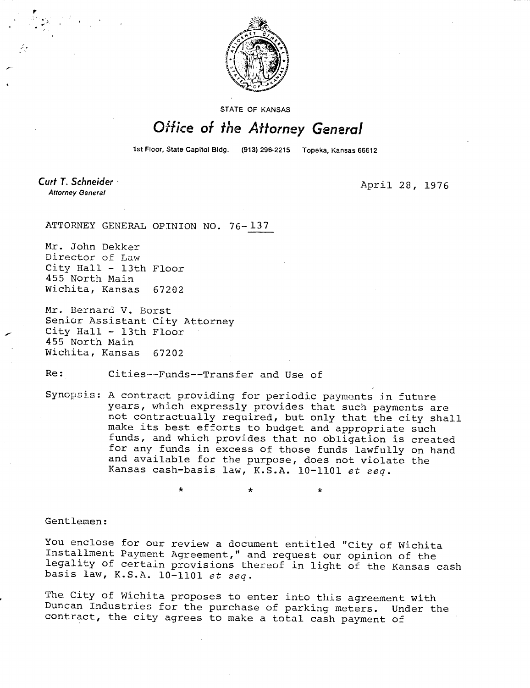

STATE OF KANSAS

## Office of the Attorney General

1st Floor, State Capitol Bldg. (913) 296-2215 Topeka, Kansas 66612

Curt T. Schneider **Attorney General** 

April 28, 1976

ATTORNEY GENERAL OPINION NO. 76-137

Mr. John Dekker Director of Law City Hall - 13th Floor 455 North Main Wichita, Kansas 67202

Mr. Bernard V. Borst Senior Assistant City Attorney City Hall - 13th Floor 455 North Main Wichita, Kansas 67202

Re: Cities--Funds--Transfer and Use of

Synopsis: A contract providing for periodic payments in future years, which expressly provides that such payments are not contractually required, but only that the city shall make its best efforts to budget and appropriate such funds, and which provides that no obligation is created for any funds in excess of those funds lawfully on hand and available for the purpose, does not violate the Kansas cash-basis law, K.S.A. 10-1101 et seq.

\* \*

Gentlemen:

You enclose for our review a document entitled "City of Wichita Installment Payment Agreement," and request our opinion of the legality of certain provisions thereof in light of the Kansas cash basis law, K.S.A. 10-1101 et seq.

The. City of Wichita proposes to enter into this agreement with Duncan Industries for the purchase of parking meters. Under the contract, the city agrees to make a total cash payment of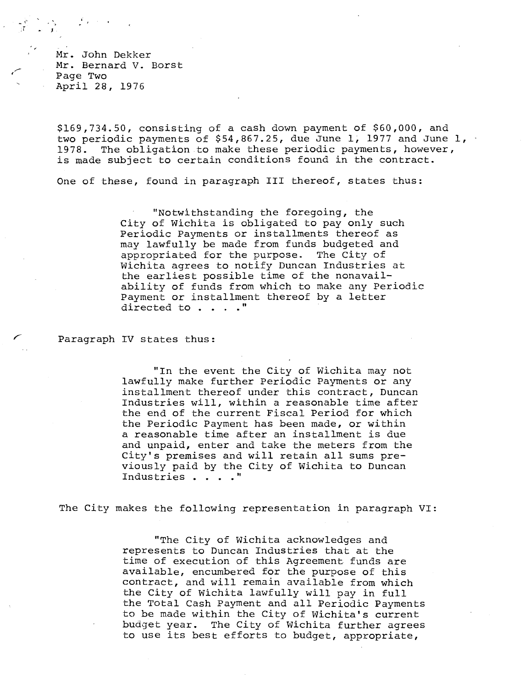Mr. John Dekker Mr. Bernard V. Borst Page Two April 28, 1976

\$169,734.50, consisting of a cash down payment of \$60,000, and two periodic payments of \$54,867.25, due June 1, 1977 and June 1, 1978. The obligation to make these periodic payments, however, is made subject to certain conditions found in the contract.

One of these, found in paragraph III thereof, states thus:

"Notwithstanding the foregoing, the City of Wichita is obligated to pay only such Periodic Payments or installments thereof as may lawfully be made from funds budgeted and appropriated for the purpose. The City of Wichita agrees to notify Duncan Industries at the earliest possible time of the nonavailability of funds from which to make any Periodic Payment or installment thereof by a letter directed to . . . . "

Paragraph IV states thus:

"In the event the City of Wichita may not lawfully make further Periodic Payments or any installment thereof under this contract, Duncan Industries will, within a reasonable time after the end of the current Fiscal Period for which the Periodic Payment has been made, or within a reasonable time after an installment is due and unpaid, enter and take the meters from the City's premises and will retain all sums previously paid by the City of Wichita to Duncan Industries . . . ."

The City makes the following representation in paragraph VI:

"The City of Wichita acknowledges and represents to Duncan Industries that at the time of execution of this Agreement funds are available, encumbered for the purpose of this contract, and will remain available from which the City of Wichita lawfully will pay in full the Total Cash Payment and all Periodic Payments to be made within the City of Wichita's current budget year. The City of Wichita further agrees to use its best efforts to budget, appropriate,